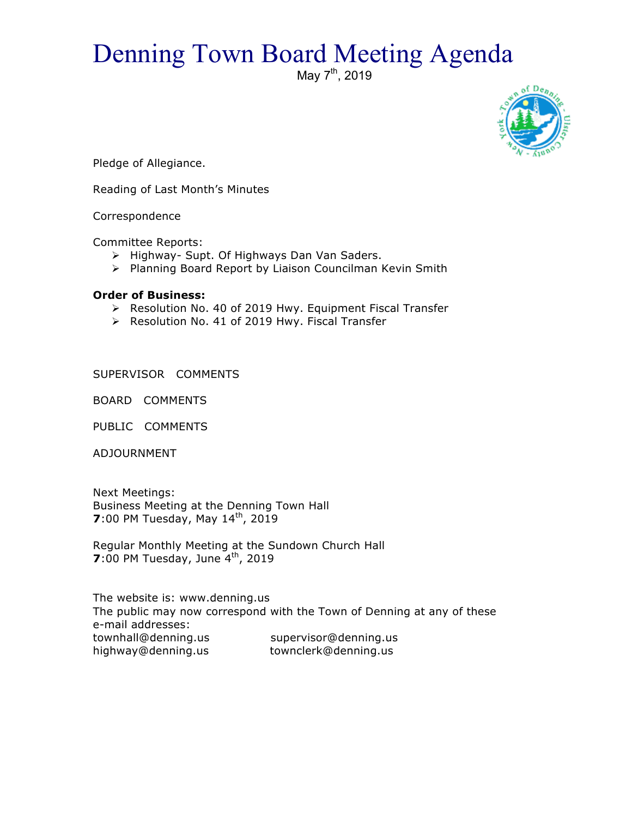## Denning Town Board Meeting Agenda

May 7<sup>th</sup>, 2019



Pledge of Allegiance.

Reading of Last Month's Minutes

Correspondence

Committee Reports:

- > Highway- Supt. Of Highways Dan Van Saders.
- $\triangleright$  Planning Board Report by Liaison Councilman Kevin Smith

## **Order of Business:**

- > Resolution No. 40 of 2019 Hwy. Equipment Fiscal Transfer
- $\triangleright$  Resolution No. 41 of 2019 Hwy. Fiscal Transfer

SUPERVISOR COMMENTS

BOARD COMMENTS

PUBLIC COMMENTS

ADJOURNMENT

Next Meetings: Business Meeting at the Denning Town Hall **7**:00 PM Tuesday, May 14<sup>th</sup>, 2019

Regular Monthly Meeting at the Sundown Church Hall **7**:00 PM Tuesday, June 4<sup>th</sup>, 2019

The website is: www.denning.us The public may now correspond with the Town of Denning at any of these e-mail addresses: townhall@denning.us supervisor@denning.us highway@denning.us townclerk@denning.us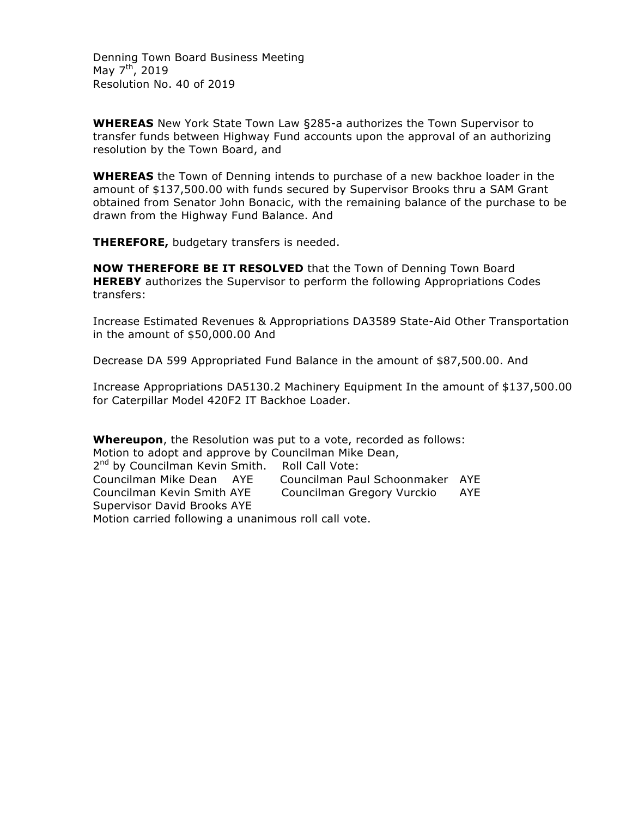Denning Town Board Business Meeting May  $7^{th}$ , 2019 Resolution No. 40 of 2019

**WHEREAS** New York State Town Law §285-a authorizes the Town Supervisor to transfer funds between Highway Fund accounts upon the approval of an authorizing resolution by the Town Board, and

**WHEREAS** the Town of Denning intends to purchase of a new backhoe loader in the amount of \$137,500.00 with funds secured by Supervisor Brooks thru a SAM Grant obtained from Senator John Bonacic, with the remaining balance of the purchase to be drawn from the Highway Fund Balance. And

**THEREFORE,** budgetary transfers is needed.

**NOW THEREFORE BE IT RESOLVED** that the Town of Denning Town Board **HEREBY** authorizes the Supervisor to perform the following Appropriations Codes transfers:

Increase Estimated Revenues & Appropriations DA3589 State-Aid Other Transportation in the amount of \$50,000.00 And

Decrease DA 599 Appropriated Fund Balance in the amount of \$87,500.00. And

Increase Appropriations DA5130.2 Machinery Equipment In the amount of \$137,500.00 for Caterpillar Model 420F2 IT Backhoe Loader.

**Whereupon**, the Resolution was put to a vote, recorded as follows: Motion to adopt and approve by Councilman Mike Dean, 2<sup>nd</sup> by Councilman Kevin Smith. Roll Call Vote: Councilman Mike Dean AYE Councilman Paul Schoonmaker AYE Councilman Kevin Smith AYE Councilman Gregory Vurckio AYE Supervisor David Brooks AYE Motion carried following a unanimous roll call vote.